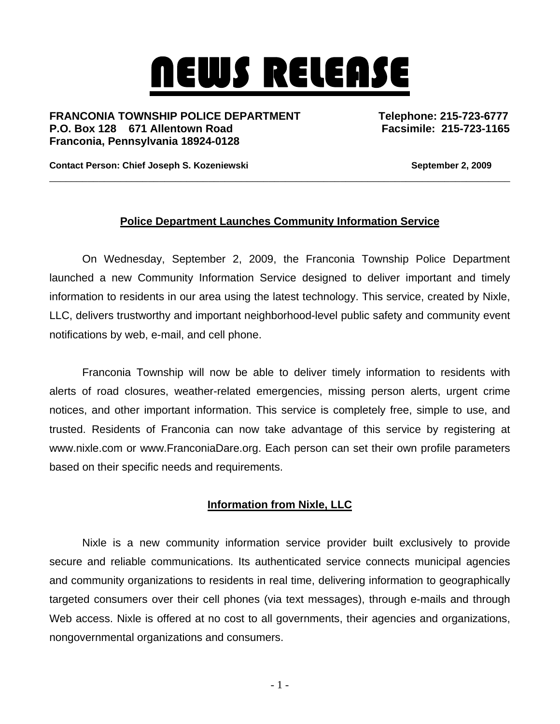## NEWS RELEASE

FRANCONIA TOWNSHIP POLICE DEPARTMENT Telephone: 215-723-6777 **P.O. Box 128 671 Allentown Road Facsimile: 215-723-1165 Franconia, Pennsylvania 18924-0128** 

Contact Person: Chief Joseph S. Kozeniewski **September 2, 2009 September 2, 2009** 

## **Police Department Launches Community Information Service**

\_\_\_\_\_\_\_\_\_\_\_\_\_\_\_\_\_\_\_\_\_\_\_\_\_\_\_\_\_\_\_\_\_\_\_\_\_\_\_\_\_\_\_\_\_\_\_\_\_\_\_\_\_\_\_\_\_\_\_\_\_\_\_\_\_\_\_\_\_\_\_\_\_\_\_\_\_\_\_\_\_\_\_\_

On Wednesday, September 2, 2009, the Franconia Township Police Department launched a new Community Information Service designed to deliver important and timely information to residents in our area using the latest technology. This service, created by Nixle, LLC, delivers trustworthy and important neighborhood-level public safety and community event notifications by web, e-mail, and cell phone.

Franconia Township will now be able to deliver timely information to residents with alerts of road closures, weather-related emergencies, missing person alerts, urgent crime notices, and other important information. This service is completely free, simple to use, and trusted. Residents of Franconia can now take advantage of this service by registering at www.nixle.com or www.FranconiaDare.org. Each person can set their own profile parameters based on their specific needs and requirements.

## **Information from Nixle, LLC**

Nixle is a new community information service provider built exclusively to provide secure and reliable communications. Its authenticated service connects municipal agencies and community organizations to residents in real time, delivering information to geographically targeted consumers over their cell phones (via text messages), through e-mails and through Web access. Nixle is offered at no cost to all governments, their agencies and organizations, nongovernmental organizations and consumers.